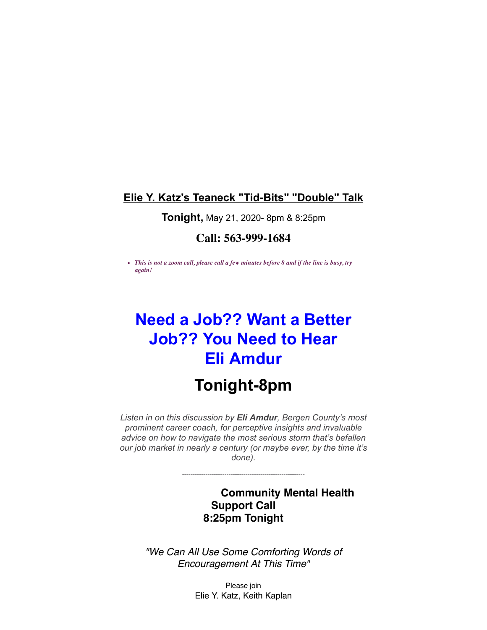### **Elie Y. Katz's Teaneck "Tid-Bits" "Double" Talk**

#### **Tonight,** May 21, 2020- 8pm & 8:25pm

### **Call: 563-999-1684**

*This is not a zoom call, please call a few minutes before 8 and if the line is busy, try again!* 

# **Need a Job?? Want a Better Job?? You Need to Hear Eli Amdur**

## **Tonight-8pm**

*Listen in on this discussion by Eli Amdur, Bergen County's most prominent career coach, for perceptive insights and invaluable advice on how to navigate the most serious storm that's befallen our job market in nearly a century (or maybe ever, by the time it's done).*

----------------------------------------------------------

**Community Mental Health Support Call 8:25pm Tonight**

*"We Can All Use Some Comforting Words of Encouragement At This Time"*

> Please join Elie Y. Katz, Keith Kaplan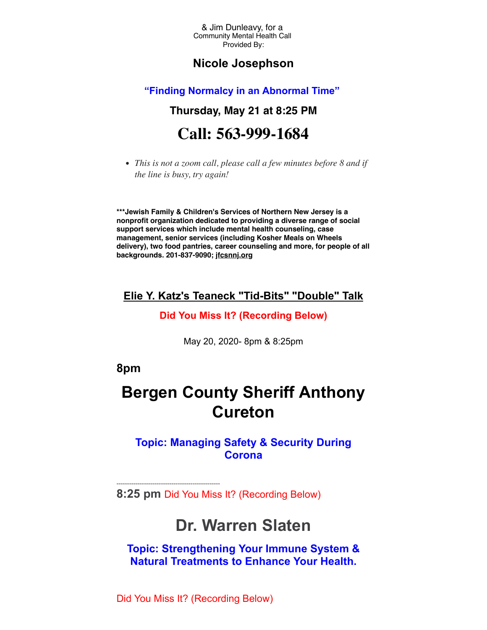& Jim Dunleavy, for a Community Mental Health Call Provided By:

### **Nicole Josephson**

#### **"Finding Normalcy in an Abnormal Time"**

## **Thursday, May 21 at 8:25 PM Call: 563-999-1684**

*This is not a zoom call, please call a few minutes before 8 and if the line is busy, try again!* 

**\*\*\*Jewish Family & Children's Services of Northern New Jersey is a nonprofit organization dedicated to providing a diverse range of social support services which include mental health counseling, case management, senior services (including Kosher Meals on Wheels delivery), two food pantries, career counseling and more, for people of all backgrounds. 201-837-9090; [jfcsnnj.org](http://r20.rs6.net/tn.jsp?f=0012JI4oY-Kltq2WMEKtcw0PT08PlpIffSLbfDanb6k9kJPCgsXd51rDr4g2xRp4Zv7U38qqCGS8xsT2bPQb2kguK9i9UfFg8b9CWq6_0ipS6TP-G8CcZtdlBM8QtgwRDSng3g68yDFEWdGeWZZFIU_BpSyIP6WzZ5nkHCnBwfyj9qL5ekfVLTF3HUggCAyAsET9ZoKHAi6zuU=&c=hfp9e3hxPAREAMUoB6U_3fBg1mIZK5MSHgxVSQeksVQH9c30WaVQJw==&ch=VWRmGVmY5QWfhR7Fecs7QcWLq9Z3Ac9IVtYmF5BpTAW6WYakfKsN1Q==)**

#### **Elie Y. Katz's Teaneck "Tid-Bits" "Double" Talk**

#### **Did You Miss It? (Recording Below)**

May 20, 2020- 8pm & 8:25pm

### **8pm**

## **Bergen County Sheriff Anthony Cureton**

### **Topic: Managing Safety & Security During Corona**

**8:25 pm** Did You Miss It? (Recording Below)

## **Dr. Warren Slaten**

**Topic: Strengthening Your Immune System & Natural Treatments to Enhance Your Health.**

Did You Miss It? (Recording Below)

-------------------------------------------------